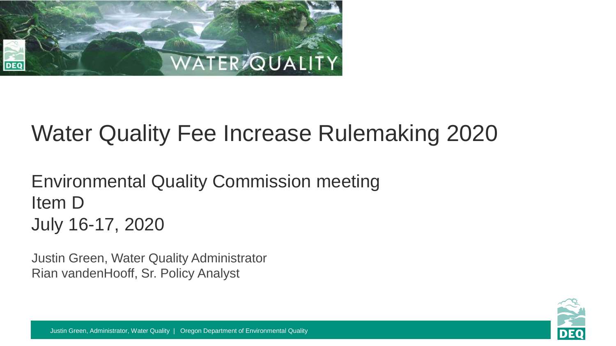

### Water Quality Fee Increase Rulemaking 2020

Environmental Quality Commission meeting Item D July 16-17, 2020

Justin Green, Water Quality Administrator Rian vandenHooff, Sr. Policy Analyst

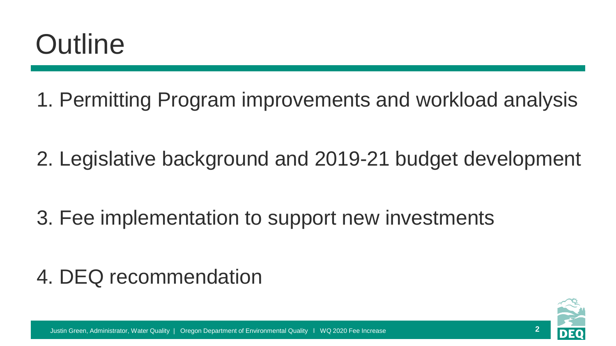## **Outline**

1. Permitting Program improvements and workload analysis

2. Legislative background and 2019-21 budget development

3. Fee implementation to support new investments

### 4. DEQ recommendation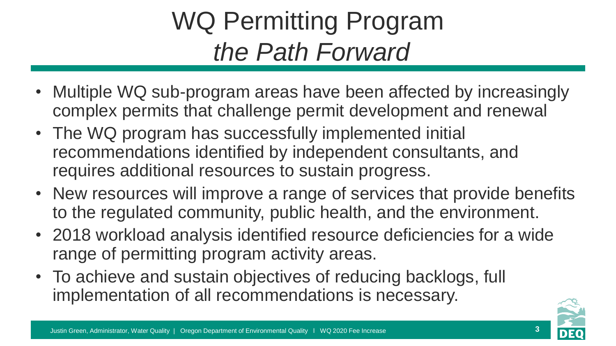### WQ Permitting Program *the Path Forward*

- Multiple WQ sub-program areas have been affected by increasingly complex permits that challenge permit development and renewal
- The WQ program has successfully implemented initial recommendations identified by independent consultants, and requires additional resources to sustain progress.
- New resources will improve a range of services that provide benefits to the regulated community, public health, and the environment.
- 2018 workload analysis identified resource deficiencies for a wide range of permitting program activity areas.
- To achieve and sustain objectives of reducing backlogs, full implementation of all recommendations is necessary.

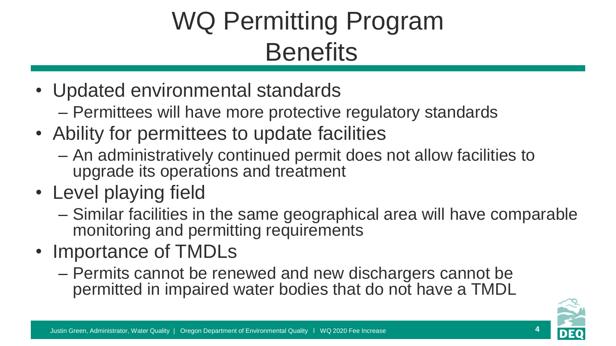### WQ Permitting Program **Benefits**

- Updated environmental standards
	- Permittees will have more protective regulatory standards
- Ability for permittees to update facilities
	- An administratively continued permit does not allow facilities to upgrade its operations and treatment
- Level playing field
	- Similar facilities in the same geographical area will have comparable monitoring and permitting requirements
- Importance of TMDLs
	- Permits cannot be renewed and new dischargers cannot be permitted in impaired water bodies that do not have a TMDL

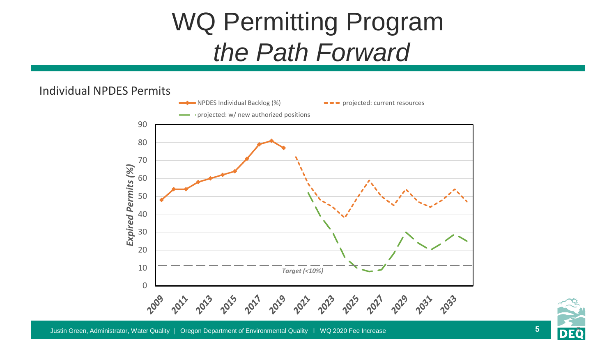### WQ Permitting Program *the Path Forward*

#### Individual NPDES Permits



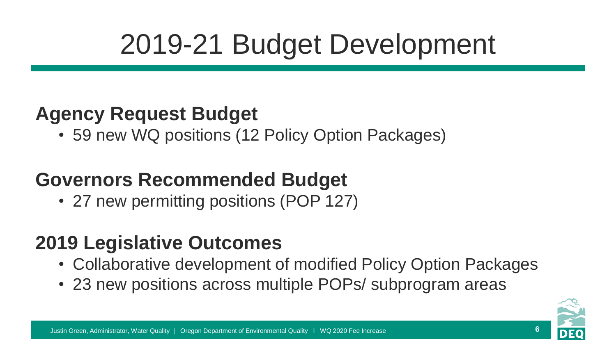# 2019-21 Budget Development

### **Agency Request Budget**

• 59 new WQ positions (12 Policy Option Packages)

### **Governors Recommended Budget**

• 27 new permitting positions (POP 127)

### **2019 Legislative Outcomes**

- Collaborative development of modified Policy Option Packages
- 23 new positions across multiple POPs/ subprogram areas

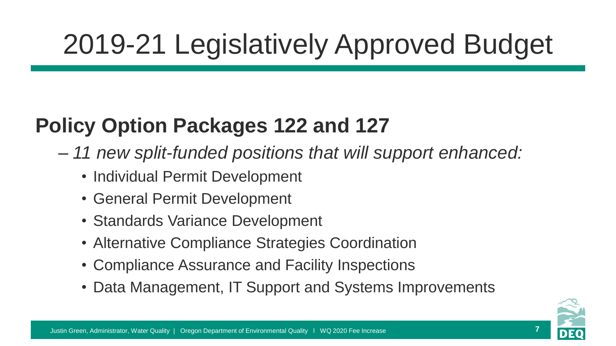# 2019-21 Legislatively Approved Budget

### **Policy Option Packages 122 and 127**

- *11 new split-funded positions that will support enhanced:*
	- Individual Permit Development
	- General Permit Development
	- Standards Variance Development
	- Alternative Compliance Strategies Coordination
	- Compliance Assurance and Facility Inspections
	- Data Management, IT Support and Systems Improvements

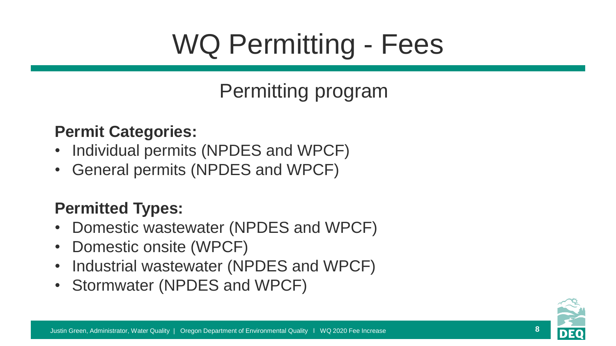# WQ Permitting - Fees

### Permitting program

#### **Permit Categories:**

- Individual permits (NPDES and WPCF)
- General permits (NPDES and WPCF)

#### **Permitted Types:**

- Domestic wastewater (NPDES and WPCF)
- Domestic onsite (WPCF)
- Industrial wastewater (NPDES and WPCF)
- Stormwater (NPDES and WPCF)

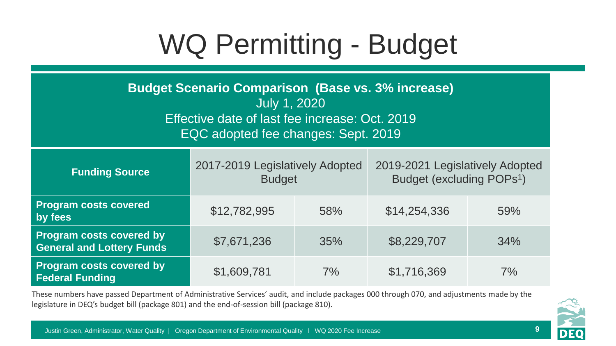# WQ Permitting - Budget

**Budget Scenario Comparison (Base vs. 3% increase)**  July 1, 2020 Effective date of last fee increase: Oct. 2019 EQC adopted fee changes: Sept. 2019

| <b>Funding Source</b>                                               | 2017-2019 Legislatively Adopted<br><b>Budget</b> |     | 2019-2021 Legislatively Adopted<br>Budget (excluding POPs <sup>1</sup> ) |     |
|---------------------------------------------------------------------|--------------------------------------------------|-----|--------------------------------------------------------------------------|-----|
| <b>Program costs covered</b><br>by fees                             | \$12,782,995                                     | 58% | \$14,254,336                                                             | 59% |
| <b>Program costs covered by</b><br><b>General and Lottery Funds</b> | \$7,671,236                                      | 35% | \$8,229,707                                                              | 34% |
| <b>Program costs covered by</b><br><b>Federal Funding</b>           | \$1,609,781                                      | 7%  | \$1,716,369                                                              | 7%  |

These numbers have passed Department of Administrative Services' audit, and include packages 000 through 070, and adjustments made by the legislature in DEQ's budget bill (package 801) and the end-of-session bill (package 810).

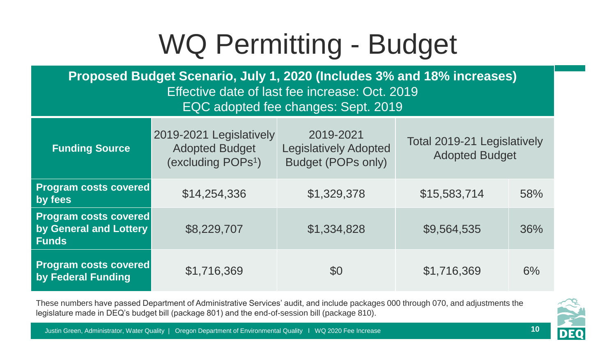## WQ Permitting - Budget

**Proposed Budget Scenario, July 1, 2020 (Includes 3% and 18% increases)**  Effective date of last fee increase: Oct. 2019 EQC adopted fee changes: Sept. 2019

| <b>Funding Source</b>                                                  | 2019-2021 Legislatively<br><b>Adopted Budget</b><br>(excluding POPs <sup>1</sup> ) | 2019-2021<br><b>Legislatively Adopted</b><br><b>Budget (POPs only)</b> | Total 2019-21 Legislatively<br><b>Adopted Budget</b> |     |
|------------------------------------------------------------------------|------------------------------------------------------------------------------------|------------------------------------------------------------------------|------------------------------------------------------|-----|
| <b>Program costs covered</b><br>by fees                                | \$14,254,336                                                                       | \$1,329,378                                                            | \$15,583,714                                         | 58% |
| <b>Program costs covered</b><br>by General and Lottery<br><b>Funds</b> | \$8,229,707                                                                        | \$1,334,828                                                            | \$9,564,535                                          | 36% |
| <b>Program costs covered</b><br>by Federal Funding                     | \$1,716,369                                                                        | \$0                                                                    | \$1,716,369                                          | 6%  |

These numbers have passed Department of Administrative Services' audit, and include packages 000 through 070, and adjustments the legislature made in DEQ's budget bill (package 801) and the end-of-session bill (package 810).

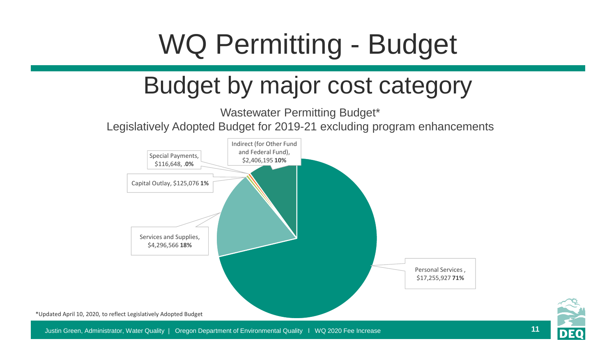# WQ Permitting - Budget

### Budget by major cost category

Wastewater Permitting Budget\* Legislatively Adopted Budget for 2019-21 excluding program enhancements





Justin Green, Administrator, Water Quality | Oregon Department of Environmental Quality l WQ 2020 Fee Increase **11**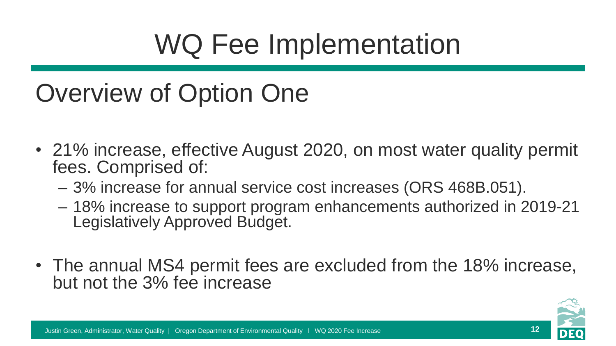## WQ Fee Implementation

### Overview of Option One

- 21% increase, effective August 2020, on most water quality permit fees. Comprised of:
	- 3% increase for annual service cost increases (ORS 468B.051).
	- 18% increase to support program enhancements authorized in 2019-21 Legislatively Approved Budget.
- The annual MS4 permit fees are excluded from the 18% increase, but not the 3% fee increase

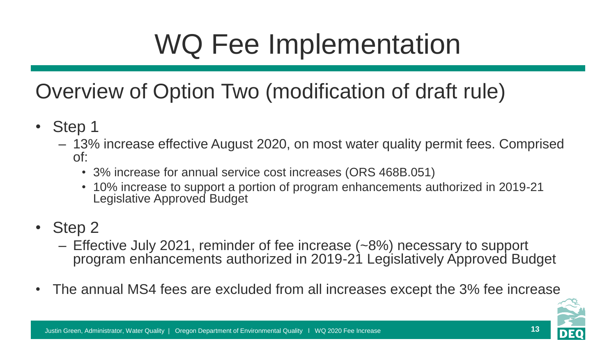# WQ Fee Implementation

### Overview of Option Two (modification of draft rule)

- Step 1
	- 13% increase effective August 2020, on most water quality permit fees. Comprised of:
		- 3% increase for annual service cost increases (ORS 468B.051)
		- 10% increase to support a portion of program enhancements authorized in 2019-21 Legislative Approved Budget
- Step 2
	- Effective July 2021, reminder of fee increase (~8%) necessary to support program enhancements authorized in 2019-21 Legislatively Approved Budget
- The annual MS4 fees are excluded from all increases except the 3% fee increase

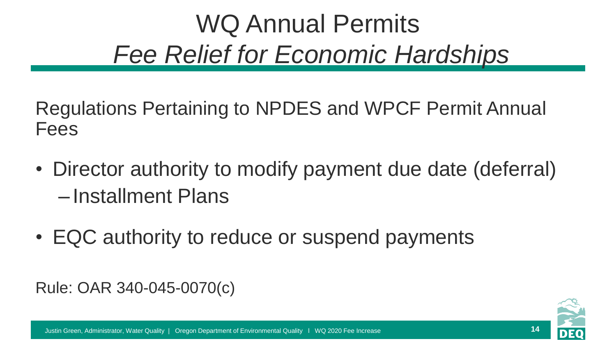### WQ Annual Permits *Fee Relief for Economic Hardships*

Regulations Pertaining to NPDES and WPCF Permit Annual Fees

- Director authority to modify payment due date (deferral) – Installment Plans
- EQC authority to reduce or suspend payments

Rule: OAR 340-045-0070(c)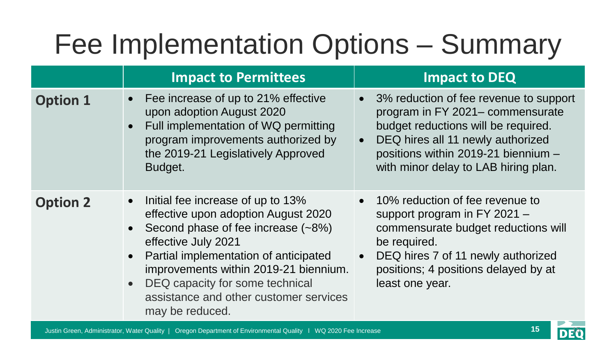## Fee Implementation Options – Summary

|                 | <b>Impact to Permittees</b>                                                                                                                                                                                                                                                                                                                                                 | <b>Impact to DEQ</b>                                                                                                                                                                                                                  |
|-----------------|-----------------------------------------------------------------------------------------------------------------------------------------------------------------------------------------------------------------------------------------------------------------------------------------------------------------------------------------------------------------------------|---------------------------------------------------------------------------------------------------------------------------------------------------------------------------------------------------------------------------------------|
| <b>Option 1</b> | Fee increase of up to 21% effective<br>$\bullet$<br>upon adoption August 2020<br>Full implementation of WQ permitting<br>$\bullet$<br>program improvements authorized by<br>the 2019-21 Legislatively Approved<br>Budget.                                                                                                                                                   | 3% reduction of fee revenue to support<br>program in FY 2021– commensurate<br>budget reductions will be required.<br>DEQ hires all 11 newly authorized<br>positions within 2019-21 biennium -<br>with minor delay to LAB hiring plan. |
| <b>Option 2</b> | Initial fee increase of up to 13%<br>$\bullet$<br>effective upon adoption August 2020<br>Second phase of fee increase (~8%)<br>$\bullet$<br>effective July 2021<br>Partial implementation of anticipated<br>$\bullet$<br>improvements within 2019-21 biennium.<br>DEQ capacity for some technical<br>$\bullet$<br>assistance and other customer services<br>may be reduced. | • 10% reduction of fee revenue to<br>support program in FY 2021 $-$<br>commensurate budget reductions will<br>be required.<br>DEQ hires 7 of 11 newly authorized<br>positions; 4 positions delayed by at<br>least one year.           |

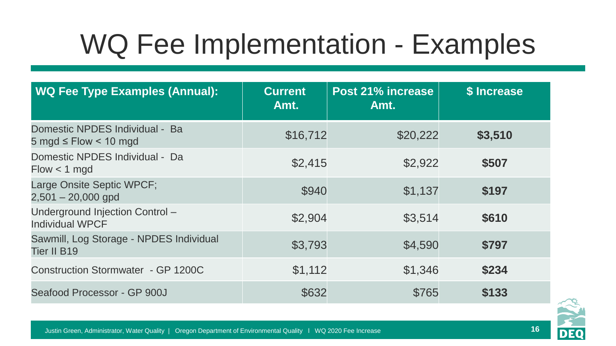## WQ Fee Implementation - Examples

| <b>WQ Fee Type Examples (Annual):</b>                                           | <b>Current</b><br>Amt. | Post 21% increase<br>Amt. | \$ Increase |
|---------------------------------------------------------------------------------|------------------------|---------------------------|-------------|
| Domestic NPDES Individual - Ba<br>$5 \text{ mod } 5$ Flow $< 10 \text{ mod } 5$ | \$16,712               | \$20,222                  | \$3,510     |
| Domestic NPDES Individual - Da<br>$Flow < 1$ mgd                                | \$2,415                | \$2,922                   | \$507       |
| Large Onsite Septic WPCF;<br>$2,501 - 20,000$ gpd                               | \$940                  | \$1,137                   | \$197       |
| Underground Injection Control -<br><b>Individual WPCF</b>                       | \$2,904                | \$3,514                   | \$610       |
| Sawmill, Log Storage - NPDES Individual<br>Tier II B19                          | \$3,793                | \$4,590                   | \$797       |
| <b>Construction Stormwater - GP 1200C</b>                                       | \$1,112                | \$1,346                   | \$234       |
| Seafood Processor - GP 900J                                                     | \$632                  | \$765                     | \$133       |

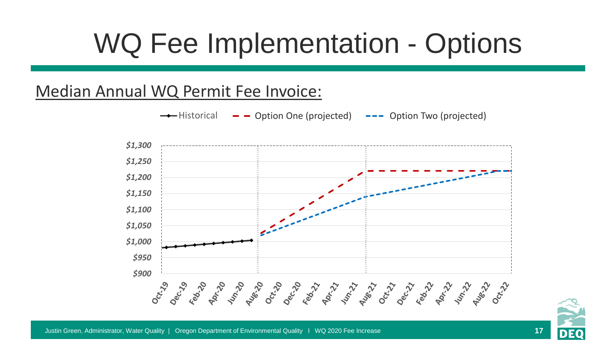## WQ Fee Implementation - Options

#### Median Annual WQ Permit Fee Invoice:





**17**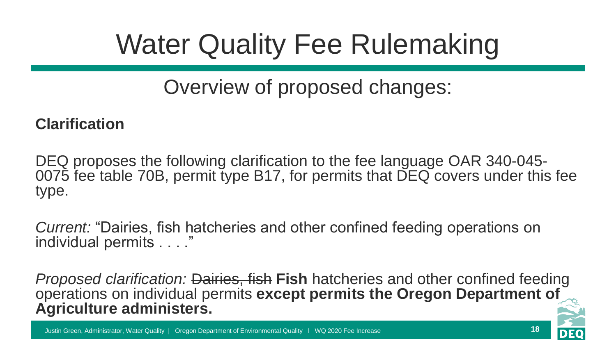# Water Quality Fee Rulemaking

### Overview of proposed changes:

#### **Clarification**

DEQ proposes the following clarification to the fee language OAR 340-045- 0075 fee table 70B, permit type B17, for permits that DEQ covers under this fee type.

*Current:* "Dairies, fish hatcheries and other confined feeding operations on individual permits . . . ."

*Proposed clarification:* Dairies, fish **Fish** hatcheries and other confined feeding operations on individual permits **except permits the Oregon Department of Agriculture administers.**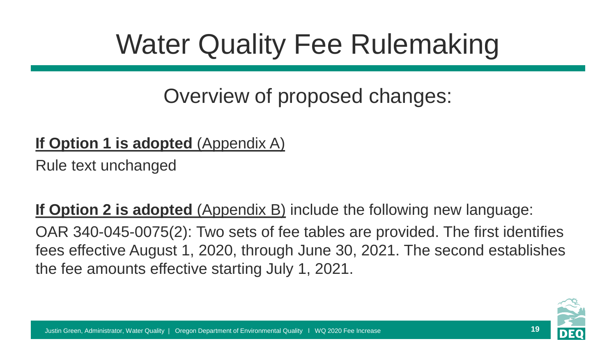# Water Quality Fee Rulemaking

### Overview of proposed changes:

#### **If Option 1 is adopted** (Appendix A)

Rule text unchanged

**If Option 2 is adopted** (Appendix B) include the following new language:

OAR 340-045-0075(2): Two sets of fee tables are provided. The first identifies fees effective August 1, 2020, through June 30, 2021. The second establishes the fee amounts effective starting July 1, 2021.